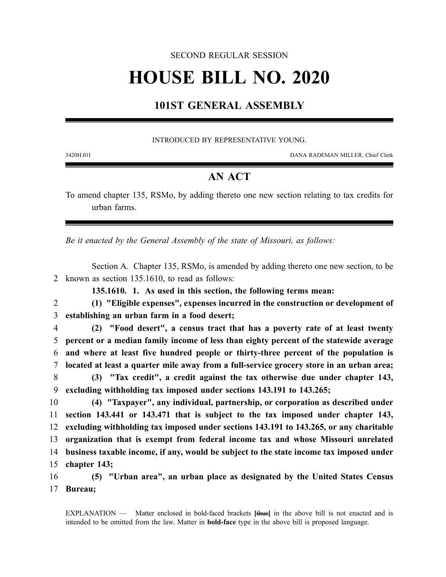#### SECOND REGULAR SESSION

# **HOUSE BILL NO. 2020**

## **101ST GENERAL ASSEMBLY**

#### INTRODUCED BY REPRESENTATIVE YOUNG.

3420H.01I DANA RADEMAN MILLER, Chief Clerk

### **AN ACT**

To amend chapter 135, RSMo, by adding thereto one new section relating to tax credits for urban farms.

*Be it enacted by the General Assembly of the state of Missouri, as follows:*

Section A. Chapter 135, RSMo, is amended by adding thereto one new section, to be 2 known as section 135.1610, to read as follows:

**135.1610. 1. As used in this section, the following terms mean:**

2 **(1) "Eligible expenses", expenses incurred in the construction or development of** 3 **establishing an urban farm in a food desert;**

 **(2) "Food desert", a census tract that has a poverty rate of at least twenty percent or a median family income of less than eighty percent of the statewide average and where at least five hundred people or thirty-three percent of the population is located at least a quarter mile away from a full-service grocery store in an urban area; (3) "Tax credit", a credit against the tax otherwise due under chapter 143,**

9 **excluding withholding tax imposed under sections 143.191 to 143.265;**

 **(4) "Taxpayer", any individual, partnership, or corporation as described under section 143.441 or 143.471 that is subject to the tax imposed under chapter 143, excluding withholding tax imposed under sections 143.191 to 143.265, or any charitable organization that is exempt from federal income tax and whose Missouri unrelated business taxable income, if any, would be subject to the state income tax imposed under chapter 143;**

16 **(5) "Urban area", an urban place as designated by the United States Census** 17 **Bureau;**

EXPLANATION — Matter enclosed in bold-faced brackets **[**thus**]** in the above bill is not enacted and is intended to be omitted from the law. Matter in **bold-face** type in the above bill is proposed language.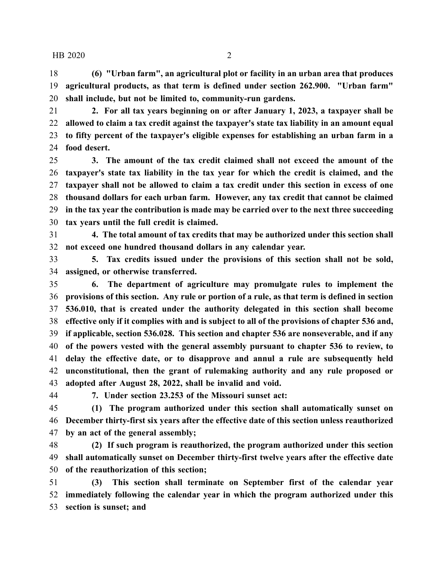**(6) "Urban farm", an agricultural plot or facility in an urban area that produces agricultural products, as that term is defined under section 262.900. "Urban farm" shall include, but not be limited to, community-run gardens.**

 **2. For all tax years beginning on or after January 1, 2023, a taxpayer shall be allowed to claim a tax credit against the taxpayer's state tax liability in an amount equal to fifty percent of the taxpayer's eligible expenses for establishing an urban farm in a food desert.**

 **3. The amount of the tax credit claimed shall not exceed the amount of the taxpayer's state tax liability in the tax year for which the credit is claimed, and the taxpayer shall not be allowed to claim a tax credit under this section in excess of one thousand dollars for each urban farm. However, any tax credit that cannot be claimed in the tax year the contribution is made may be carried over to the next three succeeding tax years until the full credit is claimed.**

 **4. The total amount of tax credits that may be authorized under this section shall not exceed one hundred thousand dollars in any calendar year.**

 **5. Tax credits issued under the provisions of this section shall not be sold, assigned, or otherwise transferred.**

 **6. The department of agriculture may promulgate rules to implement the provisions of this section. Any rule or portion of a rule, as that term is defined in section 536.010, that is created under the authority delegated in this section shall become effective only if it complies with and is subject to all of the provisions of chapter 536 and, if applicable, section 536.028. This section and chapter 536 are nonseverable, and if any of the powers vested with the general assembly pursuant to chapter 536 to review, to delay the effective date, or to disapprove and annul a rule are subsequently held unconstitutional, then the grant of rulemaking authority and any rule proposed or adopted after August 28, 2022, shall be invalid and void.**

**7. Under section 23.253 of the Missouri sunset act:**

 **(1) The program authorized under this section shall automatically sunset on December thirty-first six years after the effective date of this section unless reauthorized by an act of the general assembly;**

 **(2) If such program is reauthorized, the program authorized under this section shall automatically sunset on December thirty-first twelve years after the effective date of the reauthorization of this section;**

 **(3) This section shall terminate on September first of the calendar year immediately following the calendar year in which the program authorized under this section is sunset; and**